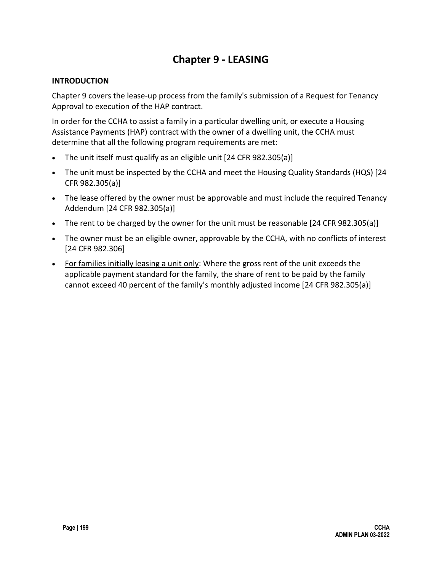# **Chapter 9 - LEASING**

#### **INTRODUCTION**

Chapter 9 covers the lease-up process from the family's submission of a Request for Tenancy Approval to execution of the HAP contract.

In order for the CCHA to assist a family in a particular dwelling unit, or execute a Housing Assistance Payments (HAP) contract with the owner of a dwelling unit, the CCHA must determine that all the following program requirements are met:

- The unit itself must qualify as an eligible unit [24 CFR 982.305(a)]
- The unit must be inspected by the CCHA and meet the Housing Quality Standards (HQS) [24 CFR 982.305(a)]
- The lease offered by the owner must be approvable and must include the required Tenancy Addendum [24 CFR 982.305(a)]
- The rent to be charged by the owner for the unit must be reasonable [24 CFR 982.305(a)]
- The owner must be an eligible owner, approvable by the CCHA, with no conflicts of interest [24 CFR 982.306]
- For families initially leasing a unit only: Where the gross rent of the unit exceeds the applicable payment standard for the family, the share of rent to be paid by the family cannot exceed 40 percent of the family's monthly adjusted income [24 CFR 982.305(a)]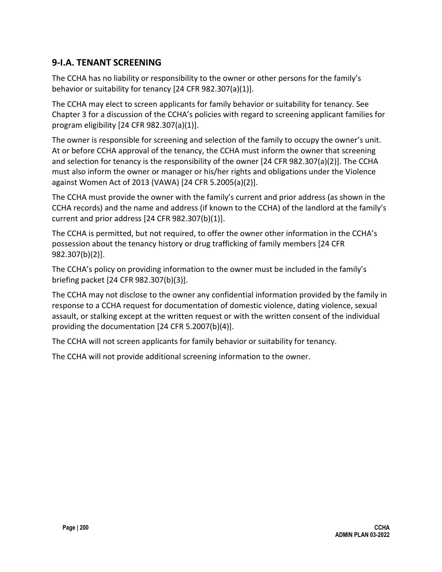## **9-I.A. TENANT SCREENING**

The CCHA has no liability or responsibility to the owner or other persons for the family's behavior or suitability for tenancy [24 CFR 982.307(a)(1)].

The CCHA may elect to screen applicants for family behavior or suitability for tenancy. See Chapter 3 for a discussion of the CCHA's policies with regard to screening applicant families for program eligibility [24 CFR 982.307(a)(1)].

The owner is responsible for screening and selection of the family to occupy the owner's unit. At or before CCHA approval of the tenancy, the CCHA must inform the owner that screening and selection for tenancy is the responsibility of the owner [24 CFR 982.307(a)(2)]. The CCHA must also inform the owner or manager or his/her rights and obligations under the Violence against Women Act of 2013 (VAWA) [24 CFR 5.2005(a)(2)].

The CCHA must provide the owner with the family's current and prior address (as shown in the CCHA records) and the name and address (if known to the CCHA) of the landlord at the family's current and prior address [24 CFR 982.307(b)(1)].

The CCHA is permitted, but not required, to offer the owner other information in the CCHA's possession about the tenancy history or drug trafficking of family members [24 CFR 982.307(b)(2)].

The CCHA's policy on providing information to the owner must be included in the family's briefing packet [24 CFR 982.307(b)(3)].

The CCHA may not disclose to the owner any confidential information provided by the family in response to a CCHA request for documentation of domestic violence, dating violence, sexual assault, or stalking except at the written request or with the written consent of the individual providing the documentation [24 CFR 5.2007(b)(4)].

The CCHA will not screen applicants for family behavior or suitability for tenancy.

The CCHA will not provide additional screening information to the owner.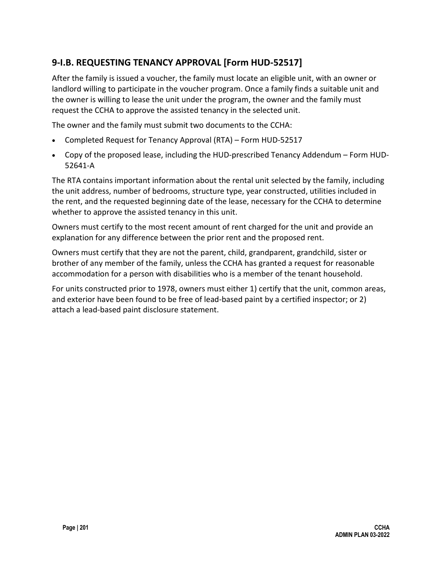## **9-I.B. REQUESTING TENANCY APPROVAL [Form HUD-52517]**

After the family is issued a voucher, the family must locate an eligible unit, with an owner or landlord willing to participate in the voucher program. Once a family finds a suitable unit and the owner is willing to lease the unit under the program, the owner and the family must request the CCHA to approve the assisted tenancy in the selected unit.

The owner and the family must submit two documents to the CCHA:

- Completed Request for Tenancy Approval (RTA) Form HUD-52517
- Copy of the proposed lease, including the HUD-prescribed Tenancy Addendum Form HUD-52641-A

The RTA contains important information about the rental unit selected by the family, including the unit address, number of bedrooms, structure type, year constructed, utilities included in the rent, and the requested beginning date of the lease, necessary for the CCHA to determine whether to approve the assisted tenancy in this unit.

Owners must certify to the most recent amount of rent charged for the unit and provide an explanation for any difference between the prior rent and the proposed rent.

Owners must certify that they are not the parent, child, grandparent, grandchild, sister or brother of any member of the family, unless the CCHA has granted a request for reasonable accommodation for a person with disabilities who is a member of the tenant household.

For units constructed prior to 1978, owners must either 1) certify that the unit, common areas, and exterior have been found to be free of lead-based paint by a certified inspector; or 2) attach a lead-based paint disclosure statement.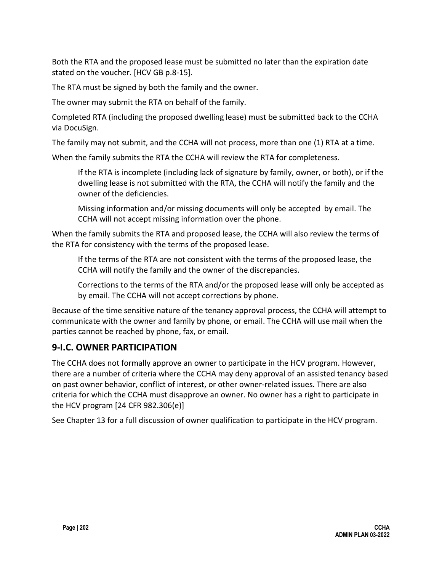Both the RTA and the proposed lease must be submitted no later than the expiration date stated on the voucher. [HCV GB p.8-15].

The RTA must be signed by both the family and the owner.

The owner may submit the RTA on behalf of the family.

Completed RTA (including the proposed dwelling lease) must be submitted back to the CCHA via DocuSign.

The family may not submit, and the CCHA will not process, more than one (1) RTA at a time.

When the family submits the RTA the CCHA will review the RTA for completeness.

If the RTA is incomplete (including lack of signature by family, owner, or both), or if the dwelling lease is not submitted with the RTA, the CCHA will notify the family and the owner of the deficiencies.

Missing information and/or missing documents will only be accepted by email. The CCHA will not accept missing information over the phone.

When the family submits the RTA and proposed lease, the CCHA will also review the terms of the RTA for consistency with the terms of the proposed lease.

If the terms of the RTA are not consistent with the terms of the proposed lease, the CCHA will notify the family and the owner of the discrepancies.

Corrections to the terms of the RTA and/or the proposed lease will only be accepted as by email. The CCHA will not accept corrections by phone.

Because of the time sensitive nature of the tenancy approval process, the CCHA will attempt to communicate with the owner and family by phone, or email. The CCHA will use mail when the parties cannot be reached by phone, fax, or email.

## **9-I.C. OWNER PARTICIPATION**

The CCHA does not formally approve an owner to participate in the HCV program. However, there are a number of criteria where the CCHA may deny approval of an assisted tenancy based on past owner behavior, conflict of interest, or other owner-related issues. There are also criteria for which the CCHA must disapprove an owner. No owner has a right to participate in the HCV program [24 CFR 982.306(e)]

See Chapter 13 for a full discussion of owner qualification to participate in the HCV program.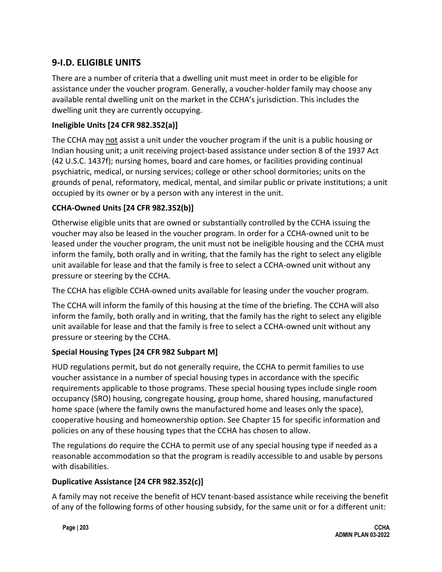## **9-I.D. ELIGIBLE UNITS**

There are a number of criteria that a dwelling unit must meet in order to be eligible for assistance under the voucher program. Generally, a voucher-holder family may choose any available rental dwelling unit on the market in the CCHA's jurisdiction. This includes the dwelling unit they are currently occupying.

#### **Ineligible Units [24 CFR 982.352(a)]**

The CCHA may not assist a unit under the voucher program if the unit is a public housing or Indian housing unit; a unit receiving project-based assistance under section 8 of the 1937 Act (42 U.S.C. 1437f); nursing homes, board and care homes, or facilities providing continual psychiatric, medical, or nursing services; college or other school dormitories; units on the grounds of penal, reformatory, medical, mental, and similar public or private institutions; a unit occupied by its owner or by a person with any interest in the unit.

### **CCHA-Owned Units [24 CFR 982.352(b)]**

Otherwise eligible units that are owned or substantially controlled by the CCHA issuing the voucher may also be leased in the voucher program. In order for a CCHA-owned unit to be leased under the voucher program, the unit must not be ineligible housing and the CCHA must inform the family, both orally and in writing, that the family has the right to select any eligible unit available for lease and that the family is free to select a CCHA-owned unit without any pressure or steering by the CCHA.

The CCHA has eligible CCHA-owned units available for leasing under the voucher program.

The CCHA will inform the family of this housing at the time of the briefing. The CCHA will also inform the family, both orally and in writing, that the family has the right to select any eligible unit available for lease and that the family is free to select a CCHA-owned unit without any pressure or steering by the CCHA.

### **Special Housing Types [24 CFR 982 Subpart M]**

HUD regulations permit, but do not generally require, the CCHA to permit families to use voucher assistance in a number of special housing types in accordance with the specific requirements applicable to those programs. These special housing types include single room occupancy (SRO) housing, congregate housing, group home, shared housing, manufactured home space (where the family owns the manufactured home and leases only the space), cooperative housing and homeownership option. See Chapter 15 for specific information and policies on any of these housing types that the CCHA has chosen to allow.

The regulations do require the CCHA to permit use of any special housing type if needed as a reasonable accommodation so that the program is readily accessible to and usable by persons with disabilities.

#### **Duplicative Assistance [24 CFR 982.352(c)]**

A family may not receive the benefit of HCV tenant-based assistance while receiving the benefit of any of the following forms of other housing subsidy, for the same unit or for a different unit: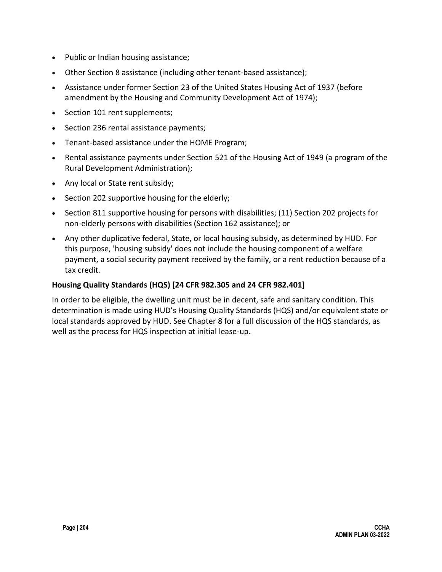- Public or Indian housing assistance;
- Other Section 8 assistance (including other tenant-based assistance);
- Assistance under former Section 23 of the United States Housing Act of 1937 (before amendment by the Housing and Community Development Act of 1974);
- Section 101 rent supplements;
- Section 236 rental assistance payments;
- Tenant-based assistance under the HOME Program;
- Rental assistance payments under Section 521 of the Housing Act of 1949 (a program of the Rural Development Administration);
- Any local or State rent subsidy;
- Section 202 supportive housing for the elderly;
- Section 811 supportive housing for persons with disabilities; (11) Section 202 projects for non-elderly persons with disabilities (Section 162 assistance); or
- Any other duplicative federal, State, or local housing subsidy, as determined by HUD. For this purpose, 'housing subsidy' does not include the housing component of a welfare payment, a social security payment received by the family, or a rent reduction because of a tax credit.

#### **Housing Quality Standards (HQS) [24 CFR 982.305 and 24 CFR 982.401]**

In order to be eligible, the dwelling unit must be in decent, safe and sanitary condition. This determination is made using HUD's Housing Quality Standards (HQS) and/or equivalent state or local standards approved by HUD. See Chapter 8 for a full discussion of the HQS standards, as well as the process for HQS inspection at initial lease-up.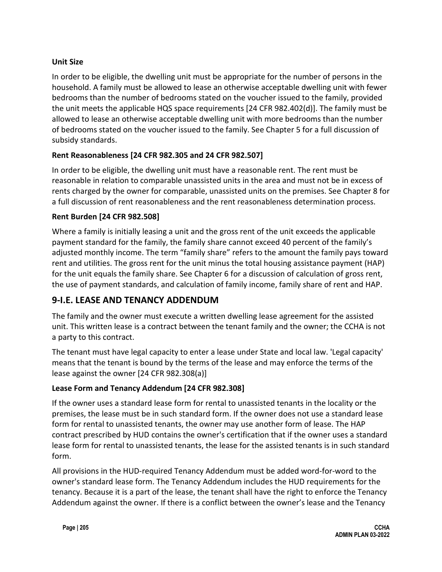### **Unit Size**

In order to be eligible, the dwelling unit must be appropriate for the number of persons in the household. A family must be allowed to lease an otherwise acceptable dwelling unit with fewer bedrooms than the number of bedrooms stated on the voucher issued to the family, provided the unit meets the applicable HQS space requirements [24 CFR 982.402(d)]. The family must be allowed to lease an otherwise acceptable dwelling unit with more bedrooms than the number of bedrooms stated on the voucher issued to the family. See Chapter 5 for a full discussion of subsidy standards.

### **Rent Reasonableness [24 CFR 982.305 and 24 CFR 982.507]**

In order to be eligible, the dwelling unit must have a reasonable rent. The rent must be reasonable in relation to comparable unassisted units in the area and must not be in excess of rents charged by the owner for comparable, unassisted units on the premises. See Chapter 8 for a full discussion of rent reasonableness and the rent reasonableness determination process.

#### **Rent Burden [24 CFR 982.508]**

Where a family is initially leasing a unit and the gross rent of the unit exceeds the applicable payment standard for the family, the family share cannot exceed 40 percent of the family's adjusted monthly income. The term "family share" refers to the amount the family pays toward rent and utilities. The gross rent for the unit minus the total housing assistance payment (HAP) for the unit equals the family share. See Chapter 6 for a discussion of calculation of gross rent, the use of payment standards, and calculation of family income, family share of rent and HAP.

## **9-I.E. LEASE AND TENANCY ADDENDUM**

The family and the owner must execute a written dwelling lease agreement for the assisted unit. This written lease is a contract between the tenant family and the owner; the CCHA is not a party to this contract.

The tenant must have legal capacity to enter a lease under State and local law. 'Legal capacity' means that the tenant is bound by the terms of the lease and may enforce the terms of the lease against the owner [24 CFR 982.308(a)]

#### **Lease Form and Tenancy Addendum [24 CFR 982.308]**

If the owner uses a standard lease form for rental to unassisted tenants in the locality or the premises, the lease must be in such standard form. If the owner does not use a standard lease form for rental to unassisted tenants, the owner may use another form of lease. The HAP contract prescribed by HUD contains the owner's certification that if the owner uses a standard lease form for rental to unassisted tenants, the lease for the assisted tenants is in such standard form.

All provisions in the HUD-required Tenancy Addendum must be added word-for-word to the owner's standard lease form. The Tenancy Addendum includes the HUD requirements for the tenancy. Because it is a part of the lease, the tenant shall have the right to enforce the Tenancy Addendum against the owner. If there is a conflict between the owner's lease and the Tenancy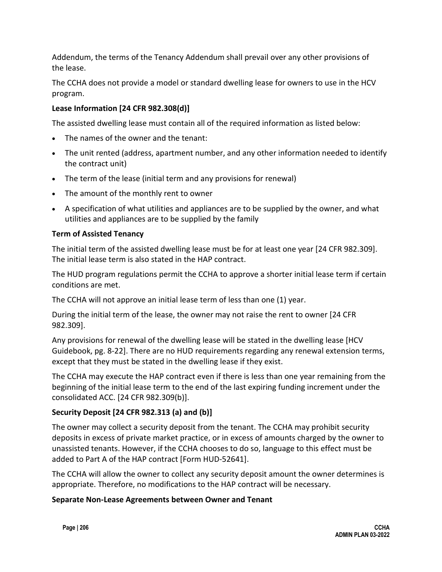Addendum, the terms of the Tenancy Addendum shall prevail over any other provisions of the lease.

The CCHA does not provide a model or standard dwelling lease for owners to use in the HCV program.

### **Lease Information [24 CFR 982.308(d)]**

The assisted dwelling lease must contain all of the required information as listed below:

- The names of the owner and the tenant:
- The unit rented (address, apartment number, and any other information needed to identify the contract unit)
- The term of the lease (initial term and any provisions for renewal)
- The amount of the monthly rent to owner
- A specification of what utilities and appliances are to be supplied by the owner, and what utilities and appliances are to be supplied by the family

#### **Term of Assisted Tenancy**

The initial term of the assisted dwelling lease must be for at least one year [24 CFR 982.309]. The initial lease term is also stated in the HAP contract.

The HUD program regulations permit the CCHA to approve a shorter initial lease term if certain conditions are met.

The CCHA will not approve an initial lease term of less than one (1) year.

During the initial term of the lease, the owner may not raise the rent to owner [24 CFR 982.309].

Any provisions for renewal of the dwelling lease will be stated in the dwelling lease [HCV Guidebook, pg. 8-22]. There are no HUD requirements regarding any renewal extension terms, except that they must be stated in the dwelling lease if they exist.

The CCHA may execute the HAP contract even if there is less than one year remaining from the beginning of the initial lease term to the end of the last expiring funding increment under the consolidated ACC. [24 CFR 982.309(b)].

### **Security Deposit [24 CFR 982.313 (a) and (b)]**

The owner may collect a security deposit from the tenant. The CCHA may prohibit security deposits in excess of private market practice, or in excess of amounts charged by the owner to unassisted tenants. However, if the CCHA chooses to do so, language to this effect must be added to Part A of the HAP contract [Form HUD-52641].

The CCHA will allow the owner to collect any security deposit amount the owner determines is appropriate. Therefore, no modifications to the HAP contract will be necessary.

#### **Separate Non-Lease Agreements between Owner and Tenant**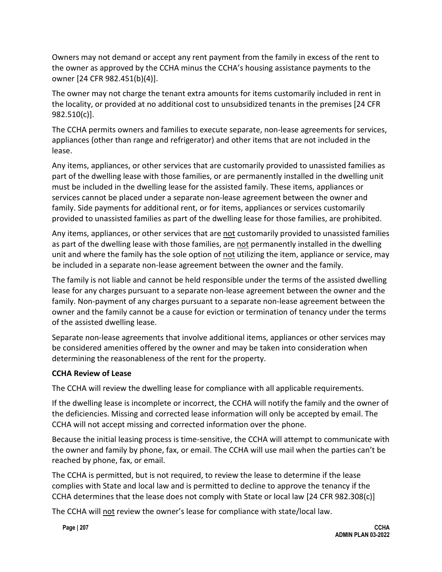Owners may not demand or accept any rent payment from the family in excess of the rent to the owner as approved by the CCHA minus the CCHA's housing assistance payments to the owner [24 CFR 982.451(b)(4)].

The owner may not charge the tenant extra amounts for items customarily included in rent in the locality, or provided at no additional cost to unsubsidized tenants in the premises [24 CFR 982.510(c)].

The CCHA permits owners and families to execute separate, non-lease agreements for services, appliances (other than range and refrigerator) and other items that are not included in the lease.

Any items, appliances, or other services that are customarily provided to unassisted families as part of the dwelling lease with those families, or are permanently installed in the dwelling unit must be included in the dwelling lease for the assisted family. These items, appliances or services cannot be placed under a separate non-lease agreement between the owner and family. Side payments for additional rent, or for items, appliances or services customarily provided to unassisted families as part of the dwelling lease for those families, are prohibited.

Any items, appliances, or other services that are not customarily provided to unassisted families as part of the dwelling lease with those families, are not permanently installed in the dwelling unit and where the family has the sole option of not utilizing the item, appliance or service, may be included in a separate non-lease agreement between the owner and the family.

The family is not liable and cannot be held responsible under the terms of the assisted dwelling lease for any charges pursuant to a separate non-lease agreement between the owner and the family. Non-payment of any charges pursuant to a separate non-lease agreement between the owner and the family cannot be a cause for eviction or termination of tenancy under the terms of the assisted dwelling lease.

Separate non-lease agreements that involve additional items, appliances or other services may be considered amenities offered by the owner and may be taken into consideration when determining the reasonableness of the rent for the property.

#### **CCHA Review of Lease**

The CCHA will review the dwelling lease for compliance with all applicable requirements.

If the dwelling lease is incomplete or incorrect, the CCHA will notify the family and the owner of the deficiencies. Missing and corrected lease information will only be accepted by email. The CCHA will not accept missing and corrected information over the phone.

Because the initial leasing process is time-sensitive, the CCHA will attempt to communicate with the owner and family by phone, fax, or email. The CCHA will use mail when the parties can't be reached by phone, fax, or email.

The CCHA is permitted, but is not required, to review the lease to determine if the lease complies with State and local law and is permitted to decline to approve the tenancy if the CCHA determines that the lease does not comply with State or local law [24 CFR 982.308(c)]

The CCHA will not review the owner's lease for compliance with state/local law.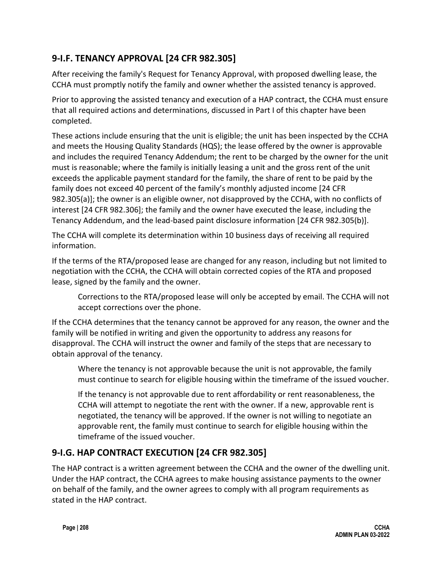## **9-I.F. TENANCY APPROVAL [24 CFR 982.305]**

After receiving the family's Request for Tenancy Approval, with proposed dwelling lease, the CCHA must promptly notify the family and owner whether the assisted tenancy is approved.

Prior to approving the assisted tenancy and execution of a HAP contract, the CCHA must ensure that all required actions and determinations, discussed in Part I of this chapter have been completed.

These actions include ensuring that the unit is eligible; the unit has been inspected by the CCHA and meets the Housing Quality Standards (HQS); the lease offered by the owner is approvable and includes the required Tenancy Addendum; the rent to be charged by the owner for the unit must is reasonable; where the family is initially leasing a unit and the gross rent of the unit exceeds the applicable payment standard for the family, the share of rent to be paid by the family does not exceed 40 percent of the family's monthly adjusted income [24 CFR 982.305(a)]; the owner is an eligible owner, not disapproved by the CCHA, with no conflicts of interest [24 CFR 982.306]; the family and the owner have executed the lease, including the Tenancy Addendum, and the lead-based paint disclosure information [24 CFR 982.305(b)].

The CCHA will complete its determination within 10 business days of receiving all required information.

If the terms of the RTA/proposed lease are changed for any reason, including but not limited to negotiation with the CCHA, the CCHA will obtain corrected copies of the RTA and proposed lease, signed by the family and the owner.

Corrections to the RTA/proposed lease will only be accepted by email. The CCHA will not accept corrections over the phone.

If the CCHA determines that the tenancy cannot be approved for any reason, the owner and the family will be notified in writing and given the opportunity to address any reasons for disapproval. The CCHA will instruct the owner and family of the steps that are necessary to obtain approval of the tenancy.

Where the tenancy is not approvable because the unit is not approvable, the family must continue to search for eligible housing within the timeframe of the issued voucher.

If the tenancy is not approvable due to rent affordability or rent reasonableness, the CCHA will attempt to negotiate the rent with the owner. If a new, approvable rent is negotiated, the tenancy will be approved. If the owner is not willing to negotiate an approvable rent, the family must continue to search for eligible housing within the timeframe of the issued voucher.

## **9-I.G. HAP CONTRACT EXECUTION [24 CFR 982.305]**

The HAP contract is a written agreement between the CCHA and the owner of the dwelling unit. Under the HAP contract, the CCHA agrees to make housing assistance payments to the owner on behalf of the family, and the owner agrees to comply with all program requirements as stated in the HAP contract.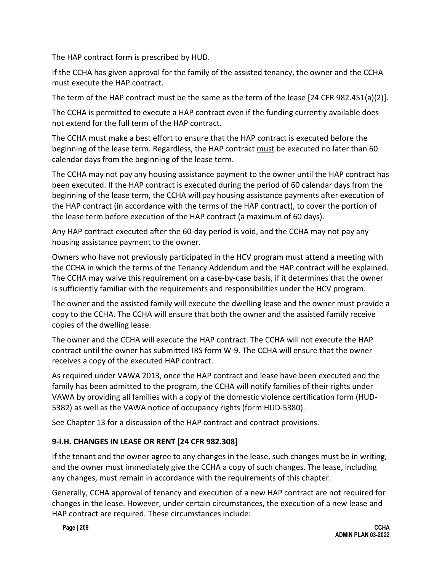The HAP contract form is prescribed by HUD.

If the CCHA has given approval for the family of the assisted tenancy, the owner and the CCHA must execute the HAP contract.

The term of the HAP contract must be the same as the term of the lease [24 CFR 982.451(a)(2)].

The CCHA is permitted to execute a HAP contract even if the funding currently available does not extend for the full term of the HAP contract.

The CCHA must make a best effort to ensure that the HAP contract is executed before the beginning of the lease term. Regardless, the HAP contract must be executed no later than 60 calendar days from the beginning of the lease term.

The CCHA may not pay any housing assistance payment to the owner until the HAP contract has been executed. If the HAP contract is executed during the period of 60 calendar days from the beginning of the lease term, the CCHA will pay housing assistance payments after execution of the HAP contract (in accordance with the terms of the HAP contract), to cover the portion of the lease term before execution of the HAP contract (a maximum of 60 days).

Any HAP contract executed after the 60-day period is void, and the CCHA may not pay any housing assistance payment to the owner.

Owners who have not previously participated in the HCV program must attend a meeting with the CCHA in which the terms of the Tenancy Addendum and the HAP contract will be explained. The CCHA may waive this requirement on a case-by-case basis, if it determines that the owner is sufficiently familiar with the requirements and responsibilities under the HCV program.

The owner and the assisted family will execute the dwelling lease and the owner must provide a copy to the CCHA. The CCHA will ensure that both the owner and the assisted family receive copies of the dwelling lease.

The owner and the CCHA will execute the HAP contract. The CCHA will not execute the HAP contract until the owner has submitted IRS form W-9. The CCHA will ensure that the owner receives a copy of the executed HAP contract.

As required under VAWA 2013, once the HAP contract and lease have been executed and the family has been admitted to the program, the CCHA will notify families of their rights under VAWA by providing all families with a copy of the domestic violence certification form (HUD-5382) as well as the VAWA notice of occupancy rights (form HUD-5380).

See Chapter 13 for a discussion of the HAP contract and contract provisions.

#### **9-I.H. CHANGES IN LEASE OR RENT [24 CFR 982.308]**

If the tenant and the owner agree to any changes in the lease, such changes must be in writing, and the owner must immediately give the CCHA a copy of such changes. The lease, including any changes, must remain in accordance with the requirements of this chapter.

Generally, CCHA approval of tenancy and execution of a new HAP contract are not required for changes in the lease. However, under certain circumstances, the execution of a new lease and HAP contract are required. These circumstances include: